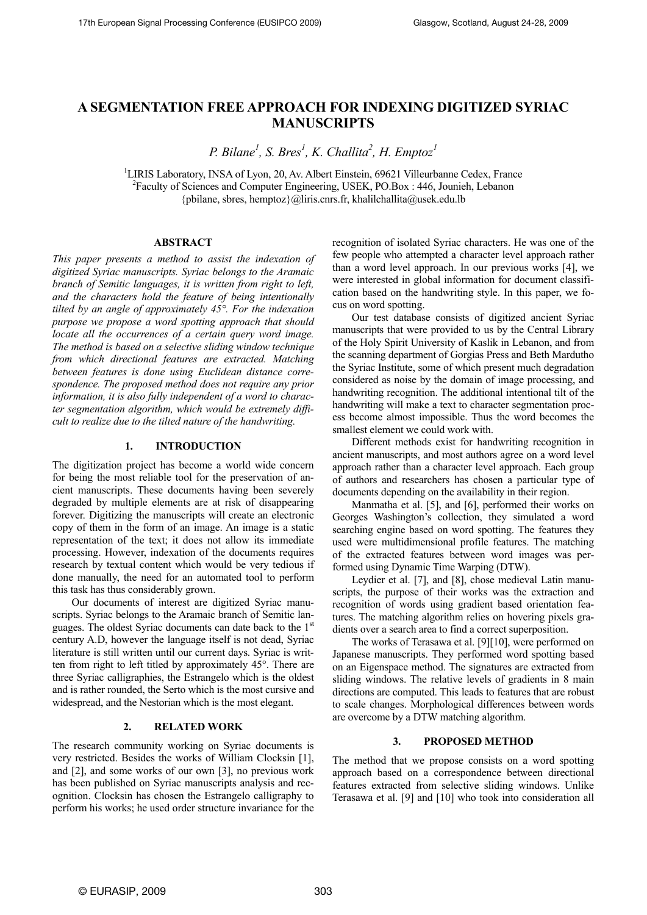# **A SEGMENTATION FREE APPROACH FOR INDEXING DIGITIZED SYRIAC MANUSCRIPTS**

*P. Bilane<sup>1</sup>*, *S. Bres<sup>1</sup>*, *K. Challita<sup>2</sup>, <i>H. Emptoz*<sup>1</sup>

<sup>1</sup>LIRIS Laboratory, INSA of Lyon, 20, Av. Albert Einstein, 69621 Villeurbanne Cedex, France 2 Faculty of Sciences and Computer Engineering, USEK, PO.Box : 446, Jounieh, Lebanon  ${p}$ ipbilane, sbres, hemptoz ${Q}$ liris.cnrs.fr, khalilchallita@usek.edu.lb

## **ABSTRACT**

*This paper presents a method to assist the indexation of digitized Syriac manuscripts. Syriac belongs to the Aramaic branch of Semitic languages, it is written from right to left, and the characters hold the feature of being intentionally tilted by an angle of approximately 45°. For the indexation purpose we propose a word spotting approach that should locate all the occurrences of a certain query word image. The method is based on a selective sliding window technique from which directional features are extracted. Matching between features is done using Euclidean distance correspondence. The proposed method does not require any prior information, it is also fully independent of a word to character segmentation algorithm, which would be extremely difficult to realize due to the tilted nature of the handwriting.* 

## **1. INTRODUCTION**

The digitization project has become a world wide concern for being the most reliable tool for the preservation of ancient manuscripts. These documents having been severely degraded by multiple elements are at risk of disappearing forever. Digitizing the manuscripts will create an electronic copy of them in the form of an image. An image is a static representation of the text; it does not allow its immediate processing. However, indexation of the documents requires research by textual content which would be very tedious if done manually, the need for an automated tool to perform this task has thus considerably grown.

Our documents of interest are digitized Syriac manuscripts. Syriac belongs to the Aramaic branch of Semitic languages. The oldest Syriac documents can date back to the 1st century A.D, however the language itself is not dead, Syriac literature is still written until our current days. Syriac is written from right to left titled by approximately 45°. There are three Syriac calligraphies, the Estrangelo which is the oldest and is rather rounded, the Serto which is the most cursive and widespread, and the Nestorian which is the most elegant.

## **2. RELATED WORK**

The research community working on Syriac documents is very restricted. Besides the works of William Clocksin [1], and [2], and some works of our own [3], no previous work has been published on Syriac manuscripts analysis and recognition. Clocksin has chosen the Estrangelo calligraphy to perform his works; he used order structure invariance for the recognition of isolated Syriac characters. He was one of the few people who attempted a character level approach rather than a word level approach. In our previous works [4], we were interested in global information for document classification based on the handwriting style. In this paper, we focus on word spotting.

Our test database consists of digitized ancient Syriac manuscripts that were provided to us by the Central Library of the Holy Spirit University of Kaslik in Lebanon, and from the scanning department of Gorgias Press and Beth Mardutho the Syriac Institute, some of which present much degradation considered as noise by the domain of image processing, and handwriting recognition. The additional intentional tilt of the handwriting will make a text to character segmentation process become almost impossible. Thus the word becomes the smallest element we could work with.

Different methods exist for handwriting recognition in ancient manuscripts, and most authors agree on a word level approach rather than a character level approach. Each group of authors and researchers has chosen a particular type of documents depending on the availability in their region.

Manmatha et al. [5], and [6], performed their works on Georges Washington's collection, they simulated a word searching engine based on word spotting. The features they used were multidimensional profile features. The matching of the extracted features between word images was performed using Dynamic Time Warping (DTW).

Leydier et al. [7], and [8], chose medieval Latin manuscripts, the purpose of their works was the extraction and recognition of words using gradient based orientation features. The matching algorithm relies on hovering pixels gradients over a search area to find a correct superposition.

The works of Terasawa et al. [9][10], were performed on Japanese manuscripts. They performed word spotting based on an Eigenspace method. The signatures are extracted from sliding windows. The relative levels of gradients in 8 main directions are computed. This leads to features that are robust to scale changes. Morphological differences between words are overcome by a DTW matching algorithm.

## **3. PROPOSED METHOD**

The method that we propose consists on a word spotting approach based on a correspondence between directional features extracted from selective sliding windows. Unlike Terasawa et al. [9] and [10] who took into consideration all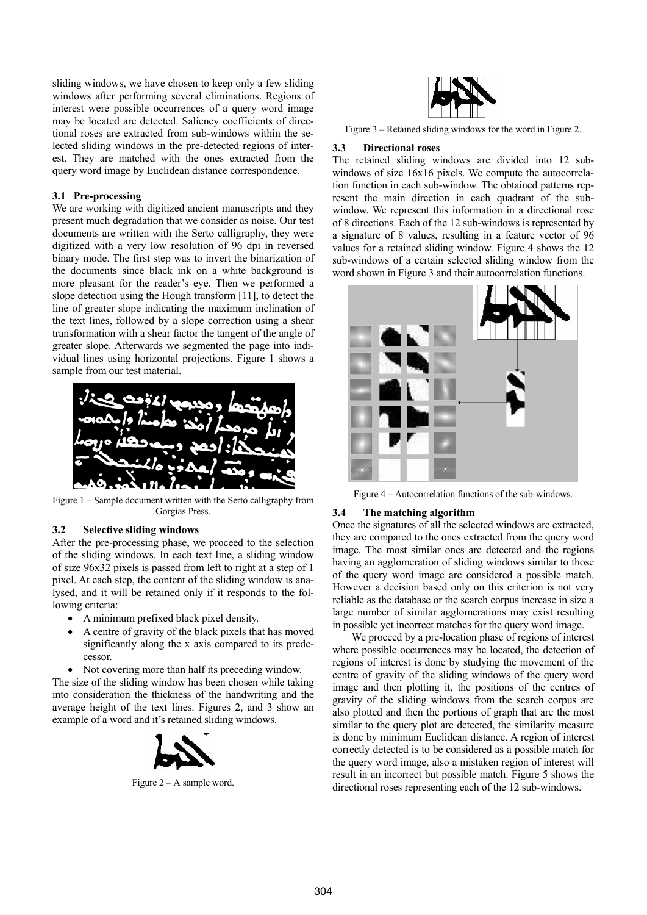sliding windows, we have chosen to keep only a few sliding windows after performing several eliminations. Regions of interest were possible occurrences of a query word image may be located are detected. Saliency coefficients of directional roses are extracted from sub-windows within the selected sliding windows in the pre-detected regions of interest. They are matched with the ones extracted from the query word image by Euclidean distance correspondence.

#### **3.1 Pre-processing**

We are working with digitized ancient manuscripts and they present much degradation that we consider as noise. Our test documents are written with the Serto calligraphy, they were digitized with a very low resolution of 96 dpi in reversed binary mode. The first step was to invert the binarization of the documents since black ink on a white background is more pleasant for the reader's eye. Then we performed a slope detection using the Hough transform [11], to detect the line of greater slope indicating the maximum inclination of the text lines, followed by a slope correction using a shear transformation with a shear factor the tangent of the angle of greater slope. Afterwards we segmented the page into individual lines using horizontal projections. Figure 1 shows a sample from our test material.



Figure 1 – Sample document written with the Serto calligraphy from Gorgias Press.

## **3.2 Selective sliding windows**

After the pre-processing phase, we proceed to the selection of the sliding windows. In each text line, a sliding window of size 96x32 pixels is passed from left to right at a step of 1 pixel. At each step, the content of the sliding window is analysed, and it will be retained only if it responds to the following criteria:

- A minimum prefixed black pixel density.
- A centre of gravity of the black pixels that has moved significantly along the x axis compared to its predecessor.
- Not covering more than half its preceding window.

The size of the sliding window has been chosen while taking into consideration the thickness of the handwriting and the average height of the text lines. Figures 2, and 3 show an example of a word and it's retained sliding windows.



Figure 2 – A sample word.



Figure 3 – Retained sliding windows for the word in Figure 2.

#### **3.3 Directional roses**

The retained sliding windows are divided into 12 subwindows of size 16x16 pixels. We compute the autocorrelation function in each sub-window. The obtained patterns represent the main direction in each quadrant of the subwindow. We represent this information in a directional rose of 8 directions. Each of the 12 sub-windows is represented by a signature of 8 values, resulting in a feature vector of 96 values for a retained sliding window. Figure 4 shows the 12 sub-windows of a certain selected sliding window from the word shown in Figure 3 and their autocorrelation functions.



Figure 4 – Autocorrelation functions of the sub-windows.

#### **3.4 The matching algorithm**

Once the signatures of all the selected windows are extracted, they are compared to the ones extracted from the query word image. The most similar ones are detected and the regions having an agglomeration of sliding windows similar to those of the query word image are considered a possible match. However a decision based only on this criterion is not very reliable as the database or the search corpus increase in size a large number of similar agglomerations may exist resulting in possible yet incorrect matches for the query word image.

We proceed by a pre-location phase of regions of interest where possible occurrences may be located, the detection of regions of interest is done by studying the movement of the centre of gravity of the sliding windows of the query word image and then plotting it, the positions of the centres of gravity of the sliding windows from the search corpus are also plotted and then the portions of graph that are the most similar to the query plot are detected, the similarity measure is done by minimum Euclidean distance. A region of interest correctly detected is to be considered as a possible match for the query word image, also a mistaken region of interest will result in an incorrect but possible match. Figure 5 shows the directional roses representing each of the 12 sub-windows.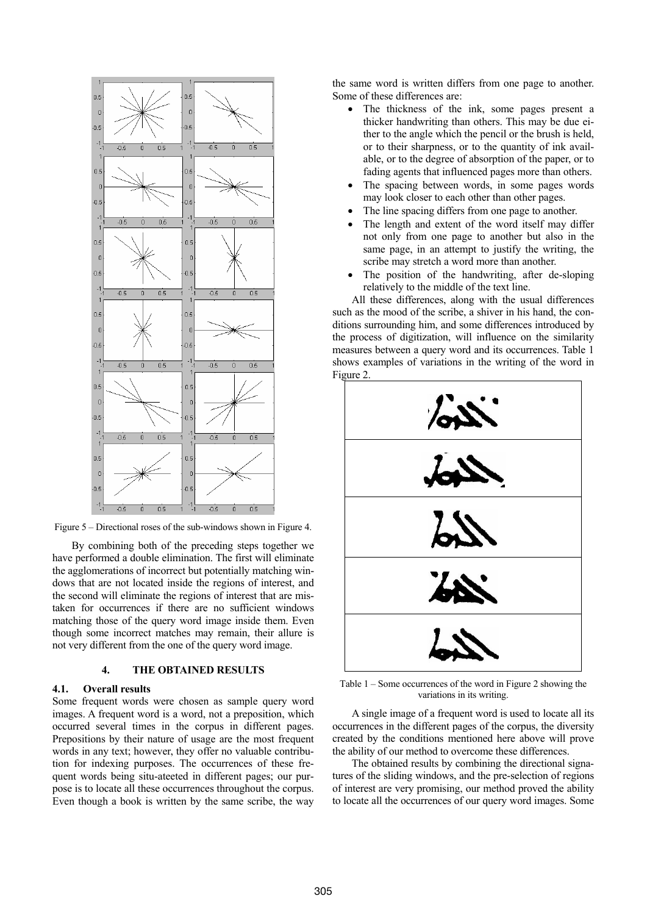

Figure 5 – Directional roses of the sub-windows shown in Figure 4.

By combining both of the preceding steps together we have performed a double elimination. The first will eliminate the agglomerations of incorrect but potentially matching windows that are not located inside the regions of interest, and the second will eliminate the regions of interest that are mistaken for occurrences if there are no sufficient windows matching those of the query word image inside them. Even though some incorrect matches may remain, their allure is not very different from the one of the query word image.

# **4. THE OBTAINED RESULTS**

#### **4.1. Overall results**

Some frequent words were chosen as sample query word images. A frequent word is a word, not a preposition, which occurred several times in the corpus in different pages. Prepositions by their nature of usage are the most frequent words in any text; however, they offer no valuable contribution for indexing purposes. The occurrences of these frequent words being situ-ateeted in different pages; our purpose is to locate all these occurrences throughout the corpus. Even though a book is written by the same scribe, the way the same word is written differs from one page to another. Some of these differences are:

- The thickness of the ink, some pages present a thicker handwriting than others. This may be due either to the angle which the pencil or the brush is held, or to their sharpness, or to the quantity of ink available, or to the degree of absorption of the paper, or to fading agents that influenced pages more than others.
- The spacing between words, in some pages words may look closer to each other than other pages.
- The line spacing differs from one page to another.
- The length and extent of the word itself may differ not only from one page to another but also in the same page, in an attempt to justify the writing, the scribe may stretch a word more than another.
- The position of the handwriting, after de-sloping relatively to the middle of the text line.

All these differences, along with the usual differences such as the mood of the scribe, a shiver in his hand, the conditions surrounding him, and some differences introduced by the process of digitization, will influence on the similarity measures between a query word and its occurrences. Table 1 shows examples of variations in the writing of the word in Figure 2.



Table 1 – Some occurrences of the word in Figure 2 showing the variations in its writing.

A single image of a frequent word is used to locate all its occurrences in the different pages of the corpus, the diversity created by the conditions mentioned here above will prove the ability of our method to overcome these differences.

The obtained results by combining the directional signatures of the sliding windows, and the pre-selection of regions of interest are very promising, our method proved the ability to locate all the occurrences of our query word images. Some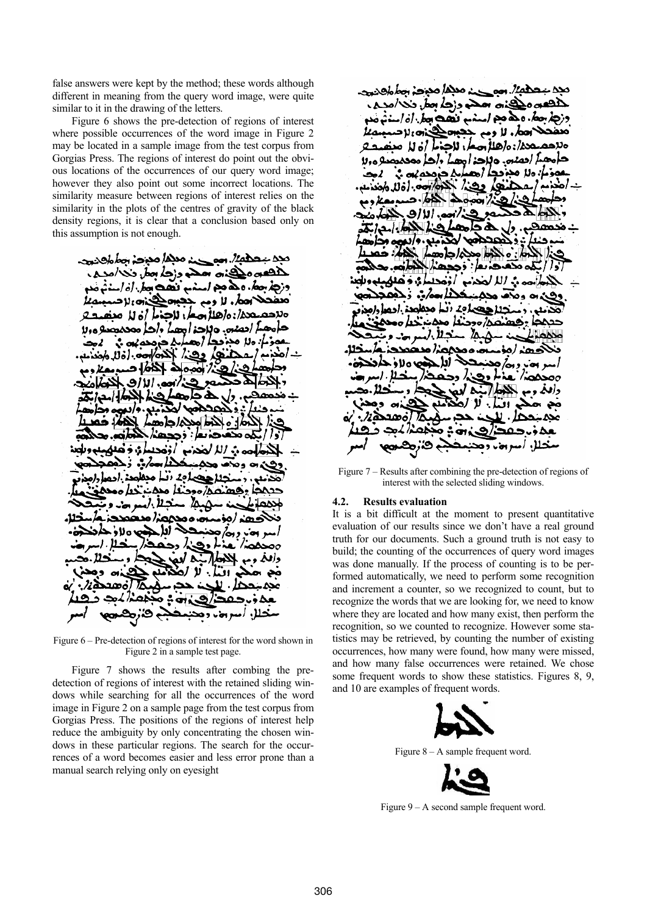false answers were kept by the method; these words although different in meaning from the query word image, were quite similar to it in the drawing of the letters.

Figure 6 shows the pre-detection of regions of interest where possible occurrences of the word image in Figure 2 may be located in a sample image from the test corpus from Gorgias Press. The regions of interest do point out the obvious locations of the occurrences of our query word image; however they also point out some incorrect locations. The similarity measure between regions of interest relies on the similarity in the plots of the centres of gravity of the black density regions, it is clear that a conclusion based only on this assumption is not enough.

حضي الصريب وملاحظ مددخة المطالح وسيحد في مسلم وزجه بعض منه امدها مده مذهب استوم نصح بماران است ے لادہ الاحہ لا ومم ججيب 01/200 مقال مصار، للحذار أن لله صنف لم احصص وللحزامهما واحا محصصية وولا حەنمە ئ بدحي ا: 10، مجاهدا (معد لا مجادي دهند الحدة حه. [ة لل واحد عم (رحمہ ملک الحامل د ۰٫۱**۱۱** مهرا (و. <del>ت</del>ذميو .و/دره ط محده/ جامعہ  $\bullet$ oo .. *الأل*خذب .. ... ده احتیازه در از محمله دارده ۸/ ۱۰۰ ن المنطق – ا منصمدد ⊾صہ صح∆ہ ∍ءهذ /هذت ۱۵۷۰ ز . ادا . ِ دِ ہج/ وهنا ٥o A γ. -.22 ەھد » •∻ ، یخ ب و هخ

Figure 6 – Pre-detection of regions of interest for the word shown in Figure 2 in a sample test page.

Figure 7 shows the results after combing the predetection of regions of interest with the retained sliding windows while searching for all the occurrences of the word image in Figure 2 on a sample page from the test corpus from Gorgias Press. The positions of the regions of interest help reduce the ambiguity by only concentrating the chosen windows in these particular regions. The search for the occurrences of a word becomes easier and less error prone than a manual search relying only on eyesight

د معظا مدرجہ مطالع دیت ینہ سے دزجہ مطرن َنھڪ د ۱. ه هم مد درجا سمك احط، لا ومم نام رلاحہ حدة: هاهلاً صعار للحدياً أن لله صنع บื่อ م احمده. وبزحد امعد احد محمصدو ورلا : ەللە ھجەككى (ھ**ھ**م ارک کرمدہ ہے ۔ هذه) وهذا كلوم معادل المن  $-68 - 2000/28$ نذانعت الااف 6 A ممھ **ـبـدِ . و/دریءِ وذ** ا محکم دامع  $\bullet$  : . . . . . . . . . . . الكومضوضعا مأرجحه في الله الحجاجة /أوجحه ا : د مدد ЪN. احتصامه أنبأ مدامين لصد/ وحنفا محمد حددها رفعا هنه سنتلاز المدهمدون مہ محمد ن خمد م ه لاڏ ۰ **لغا** ر رونم و دڪند ود مفكض القذ ه لاه v . . . ۰I۸ ۰ó  $\mathbf{C}$ 

Figure 7 – Results after combining the pre-detection of regions of interest with the selected sliding windows.

#### **4.2. Results evaluation**

It is a bit difficult at the moment to present quantitative evaluation of our results since we don't have a real ground truth for our documents. Such a ground truth is not easy to build; the counting of the occurrences of query word images was done manually. If the process of counting is to be performed automatically, we need to perform some recognition and increment a counter, so we recognized to count, but to recognize the words that we are looking for, we need to know where they are located and how many exist, then perform the recognition, so we counted to recognize. However some statistics may be retrieved, by counting the number of existing occurrences, how many were found, how many were missed, and how many false occurrences were retained. We chose some frequent words to show these statistics. Figures 8, 9, and 10 are examples of frequent words.



Figure 8 – A sample frequent word.



Figure 9 – A second sample frequent word.